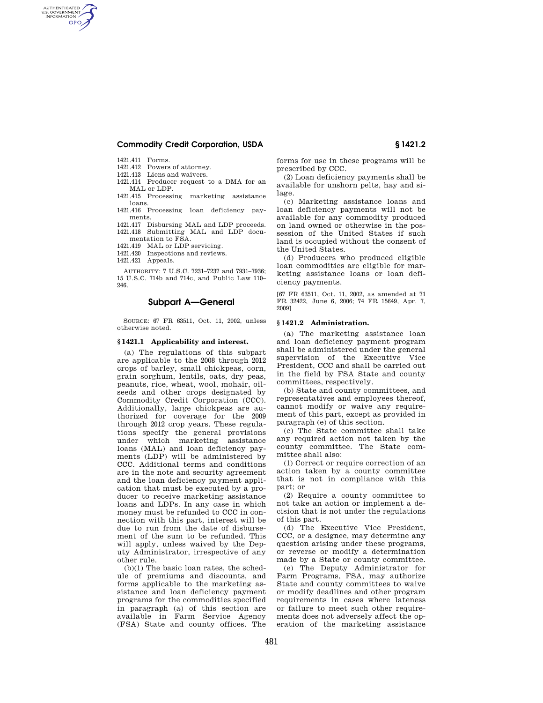## **Commodity Credit Corporation, USDA § 1421.2**

1421.411 Forms.

AUTHENTICATED<br>U.S. GOVERNMENT<br>INFORMATION **GPO** 

1421.412 Powers of attorney.

1421.413 Liens and waivers.

1421.414 Producer request to a DMA for an MAL or LDP.

1421.415 Processing marketing assistance loans.

1421.416 Processing loan deficiency payments.

1421.417 Disbursing MAL and LDP proceeds. 1421.418 Submitting MAL and LDP documentation to FSA.

1421.419 MAL or LDP servicing.

1421.420 Inspections and reviews.

1421.421 Appeals.

AUTHORITY: 7 U.S.C. 7231–7237 and 7931–7936; 15 U.S.C. 714b and 714c, and Public Law 110– 246.

# **Subpart A—General**

SOURCE: 67 FR 63511, Oct. 11, 2002, unless otherwise noted.

#### **§ 1421.1 Applicability and interest.**

(a) The regulations of this subpart are applicable to the 2008 through 2012 crops of barley, small chickpeas, corn, grain sorghum, lentils, oats, dry peas, peanuts, rice, wheat, wool, mohair, oilseeds and other crops designated by Commodity Credit Corporation (CCC). Additionally, large chickpeas are authorized for coverage for the 2009 through 2012 crop years. These regulations specify the general provisions under which marketing assistance loans (MAL) and loan deficiency payments (LDP) will be administered by CCC. Additional terms and conditions are in the note and security agreement and the loan deficiency payment application that must be executed by a producer to receive marketing assistance loans and LDPs. In any case in which money must be refunded to CCC in connection with this part, interest will be due to run from the date of disbursement of the sum to be refunded. This will apply, unless waived by the Deputy Administrator, irrespective of any other rule.

(b)(1) The basic loan rates, the schedule of premiums and discounts, and forms applicable to the marketing assistance and loan deficiency payment programs for the commodities specified in paragraph (a) of this section are available in Farm Service Agency (FSA) State and county offices. The

forms for use in these programs will be prescribed by CCC.

(2) Loan deficiency payments shall be available for unshorn pelts, hay and silage.

(c) Marketing assistance loans and loan deficiency payments will not be available for any commodity produced on land owned or otherwise in the possession of the United States if such land is occupied without the consent of the United States.

(d) Producers who produced eligible loan commodities are eligible for marketing assistance loans or loan deficiency payments.

[67 FR 63511, Oct. 11, 2002, as amended at 71 FR 32422, June 6, 2006; 74 FR 15649, Apr. 7, 2009]

#### **§ 1421.2 Administration.**

(a) The marketing assistance loan and loan deficiency payment program shall be administered under the general supervision of the Executive Vice President, CCC and shall be carried out in the field by FSA State and county committees, respectively.

(b) State and county committees, and representatives and employees thereof, cannot modify or waive any requirement of this part, except as provided in paragraph (e) of this section.

(c) The State committee shall take any required action not taken by the county committee. The State committee shall also:

(1) Correct or require correction of an action taken by a county committee that is not in compliance with this part; or

(2) Require a county committee to not take an action or implement a decision that is not under the regulations of this part.

(d) The Executive Vice President, CCC, or a designee, may determine any question arising under these programs, or reverse or modify a determination made by a State or county committee.

(e) The Deputy Administrator for Farm Programs, FSA, may authorize State and county committees to waive or modify deadlines and other program requirements in cases where lateness or failure to meet such other requirements does not adversely affect the operation of the marketing assistance